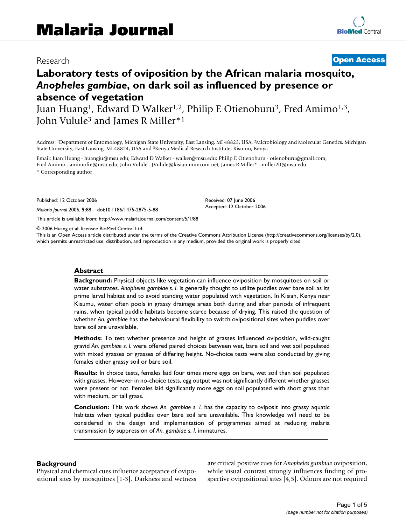## Research **[Open Access](http://www.biomedcentral.com/info/about/charter/)**

# **Laboratory tests of oviposition by the African malaria mosquito,**  *Anopheles gambiae***, on dark soil as influenced by presence or absence of vegetation**

Juan Huang<sup>1</sup>, Edward D Walker<sup>1,2</sup>, Philip E Otienoburu<sup>3</sup>, Fred Amimo<sup>1,3</sup>, John Vulule<sup>3</sup> and James R Miller<sup>\*1</sup>

Address: 1Department of Entomology, Michigan State University, East Lansing, MI 48823, USA, 2Microbiology and Molecular Genetics, Michigan State University, East Lansing, MI 48824, USA and 3Kenya Medical Research Institute, Kisumu, Kenya

Email: Juan Huang - huangju@msu.edu; Edward D Walker - walker@msu.edu; Philip E Otienoburu - otienoburu@gmail.com; Fred Amimo - amimofre@msu.edu; John Vulule - JVulule@kisian.mimcom.net; James R Miller\* - miller20@msu.edu \* Corresponding author

Published: 12 October 2006

*Malaria Journal* 2006, **5**:88 doi:10.1186/1475-2875-5-88

[This article is available from: http://www.malariajournal.com/content/5/1/88](http://www.malariajournal.com/content/5/1/88)

© 2006 Huang et al; licensee BioMed Central Ltd.

This is an Open Access article distributed under the terms of the Creative Commons Attribution License [\(http://creativecommons.org/licenses/by/2.0\)](http://creativecommons.org/licenses/by/2.0), which permits unrestricted use, distribution, and reproduction in any medium, provided the original work is properly cited.

Received: 07 June 2006 Accepted: 12 October 2006

#### **Abstract**

**Background:** Physical objects like vegetation can influence oviposition by mosquitoes on soil or water substrates. *Anopheles gambiae s. l*. is generally thought to utilize puddles over bare soil as its prime larval habitat and to avoid standing water populated with vegetation. In Kisian, Kenya near Kisumu, water often pools in grassy drainage areas both during and after periods of infrequent rains, when typical puddle habitats become scarce because of drying. This raised the question of whether *An. gambiae* has the behavioural flexibility to switch ovipositional sites when puddles over bare soil are unavailable.

**Methods:** To test whether presence and height of grasses influenced oviposition, wild-caught gravid *An. gambiae s. l*. were offered paired choices between wet, bare soil and wet soil populated with mixed grasses or grasses of differing height. No-choice tests were also conducted by giving females either grassy soil or bare soil.

**Results:** In choice tests, females laid four times more eggs on bare, wet soil than soil populated with grasses. However in no-choice tests, egg output was not significantly different whether grasses were present or not. Females laid significantly more eggs on soil populated with short grass than with medium, or tall grass.

**Conclusion:** This work shows *An. gambiae s. l*. has the capacity to oviposit into grassy aquatic habitats when typical puddles over bare soil are unavailable. This knowledge will need to be considered in the design and implementation of programmes aimed at reducing malaria transmission by suppression of *An. gambiae s. l*. immatures.

#### **Background**

Physical and chemical cues influence acceptance of ovipositional sites by mosquitoes [1-3]. Darkness and wetness are critical positive cues for *Anopheles gambiae* oviposition, while visual contrast strongly influences finding of prospective ovipositional sites [4,5]. Odours are not required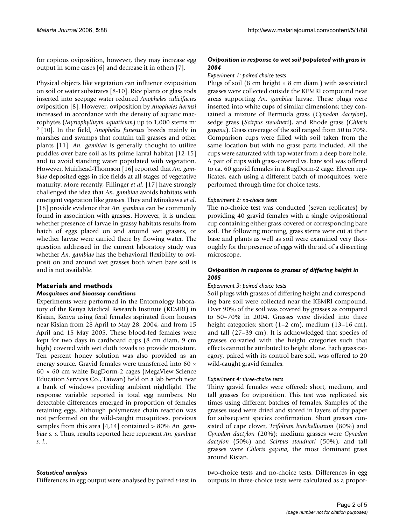for copious oviposition, however, they may increase egg output in some cases [6] and decrease it in others [[7\]](#page-3-0).

Physical objects like vegetation can influence oviposition on soil or water substrates [8-10]. Rice plants or glass rods inserted into seepage water reduced *Anopheles culicifacies* oviposition [8]. However, oviposition by *Anopheles hermsi* increased in accordance with the density of aquatic macrophytes (*Myriophylluym aquaticum*) up to 1,000 stems m-2 [10]. In the field, *Anopheles funestus* breeds mainly in marshes and swamps that contain tall grasses and other plants [11]. *An. gambiae* is generally thought to utilize puddles over bare soil as its prime larval habitat [12-15] and to avoid standing water populated with vegetation. However, Muirhead-Thomson [16] reported that *An. gambiae* deposited eggs in rice fields at all stages of vegetative maturity. More recently, Fillinger *et al*. [17] have strongly challenged the idea that *An. gambiae* avoids habitats with emergent vegetation like grasses. They and Minakawa *et al*. [18] provide evidence that *An. gambiae* can be commonly found in association with grasses. However, it is unclear whether presence of larvae in grassy habitats results from hatch of eggs placed on and around wet grasses, or whether larvae were carried there by flowing water. The question addressed in the current laboratory study was whether *An. gambiae* has the behavioral flexibility to oviposit on and around wet grasses both when bare soil is and is not available.

#### **Materials and methods** *Mosquitoes and bioassay conditions*

Experiments were performed in the Entomology laboratory of the Kenya Medical Research Institute (KEMRI) in Kisian, Kenya using feral females aspirated from houses near Kisian from 28 April to May 28, 2004, and from 15 April and 15 May 2005. These blood-fed females were kept for two days in cardboard cups (8 cm diam, 9 cm high) covered with wet cloth towels to provide moisture. Ten percent honey solution was also provided as an energy source. Gravid females were transferred into 60 ×  $60 \times 60$  cm white BugDorm-2 cages (MegaView Science Education Services Co., Taiwan) held on a lab bench near a bank of windows providing ambient nightlight. The response variable reported is total egg numbers. No detectable differences emerged in proportion of females retaining eggs. Although polymerase chain reaction was not performed on the wild-caught mosquitoes, previous samples from this area [4,[14\]](#page-3-1) contained > 80% *An. gambiae s. s*. Thus, results reported here represent *An. gambiae s. l*..

#### *Statistical analysis*

Differences in egg output were analysed by paired *t*-test in

### *Oviposition in response to wet soil populated with grass in 2004*

#### *Experiment 1: paired choice tests*

Plugs of soil (8 cm height  $\times$  8 cm diam.) with associated grasses were collected outside the KEMRI compound near areas supporting *An. gambiae* larvae. These plugs were inserted into white cups of similar dimensions; they contained a mixture of Bermuda grass (*Cynodon dactylon*), sedge grass (*Scirpus steudneri*), and Rhode grass (*Chloris gayana*). Grass coverage of the soil ranged from 50 to 70%. Comparison cups were filled with soil taken from the same location but with no grass parts included. All the cups were saturated with tap water from a deep bore hole. A pair of cups with grass-covered vs. bare soil was offered to ca. 60 gravid females in a BugDorm-2 cage. Eleven replicates, each using a different batch of mosquitoes, were performed through time for choice tests.

#### *Experiment 2: no-choice tests*

The no-choice test was conducted (seven replicates) by providing 40 gravid females with a single ovipositional cup containing either grass-covered or corresponding bare soil. The following morning, grass stems were cut at their base and plants as well as soil were examined very thoroughly for the presence of eggs with the aid of a dissecting microscope.

### *Oviposition in response to grasses of differing height in 2005*

### *Experiment 3: paired choice tests*

Soil plugs with grasses of differing height and corresponding bare soil were collected near the KEMRI compound. Over 90% of the soil was covered by grasses as compared to 50–70% in 2004. Grasses were divided into three height categories: short (1–2 cm), medium (13–16 cm), and tall (27–39 cm). It is acknowledged that species of grasses co-varied with the height categories such that effects cannot be attributed to height alone. Each grass category, paired with its control bare soil, was offered to 20 wild-caught gravid females.

#### *Experiment 4: three-choice tests*

Thirty gravid females were offered: short, medium, and tall grasses for oviposition. This test was replicated six times using different batches of females. Samples of the grasses used were dried and stored in layers of dry paper for subsequent species confirmation. Short grasses consisted of cape clover, *Trifolium burchellianum* (80%) and *Cynodon dactylon* (20%); medium grasses were *Cynodon dactylon* (50%) and *Scirpus steudneri* (50%); and tall grasses were *Chloris gayana*, the most dominant grass around Kisian.

two-choice tests and no-choice tests. Differences in egg outputs in three-choice tests were calculated as a propor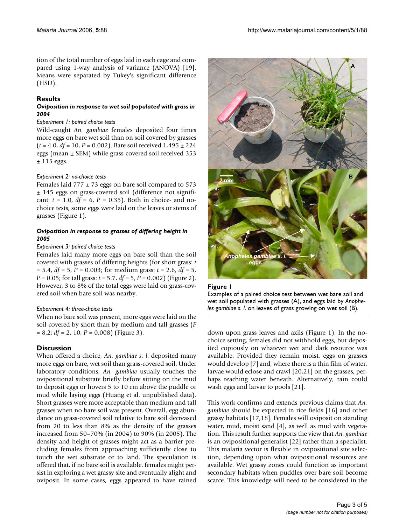tion of the total number of eggs laid in each cage and compared using 1-way analysis of variance (ANOVA) [19]. Means were separated by Tukey's significant difference (HSD).

#### **Results**

#### *Oviposition in response to wet soil populated with grass in 2004*

#### *Experiment 1: paired choice tests*

Wild-caught *An. gambiae* females deposited four times more eggs on bare wet soil than on soil covered by grasses (*t* = 4.0, *df* = 10, *P* = 0.002). Bare soil received 1,495 ± 224 eggs (mean  $\pm$  SEM) while grass-covered soil received 353  $± 115$  eggs.

#### *Experiment 2: no-choice tests*

Females laid  $777 \pm 73$  eggs on bare soil compared to 573 ± 145 eggs on grass-covered soil (difference not significant:  $t = 1.0$ ,  $df = 6$ ,  $P = 0.35$ ). Both in choice- and nochoice tests, some eggs were laid on the leaves or stems of grasses (Figure 1).

### *Oviposition in response to grasses of differing height in 2005*

#### *Experiment 3: paired choice tests*

Females laid many more eggs on bare soil than the soil covered with grasses of differing heights (for short grass: *t* = 5.4, *df* = 5, *P* = 0.003; for medium grass: *t* = 2.6, *df* = 5, *P* = 0.05; for tall grass: *t* = 5.7, *df* = 5, *P* = 0.002) (Figure 2). However, 3 to 8% of the total eggs were laid on grass-covered soil when bare soil was nearby.

#### *Experiment 4: three-choice tests*

When no bare soil was present, more eggs were laid on the soil covered by short than by medium and tall grasses (*F* = 8.2; *df* = 2, 10; *P* = 0.008) (Figure 3).

#### **Discussion**

When offered a choice, *An. gambiae s. l*. deposited many more eggs on bare, wet soil than grass-covered soil. Under laboratory conditions, *An. gambiae* usually touches the ovipositional substrate briefly before sitting on the mud to deposit eggs or hovers 5 to 10 cm above the puddle or mud while laying eggs (Huang et al. unpublished data). Short grasses were more acceptable than medium and tall grasses when no bare soil was present. Overall, egg abundance on grass-covered soil relative to bare soil decreased from 20 to less than 8% as the density of the grasses increased from 50–70% (in 2004) to 90% (in 2005). The density and height of grasses might act as a barrier precluding females from approaching sufficiently close to touch the wet substrate or to land. The speculation is offered that, if no bare soil is available, females might persist in exploring a wet grassy site and eventually alight and oviposit. In some cases, eggs appeared to have rained



#### **Figure 1**

Examples of a paired choice test between wet bare soil and wet soil populated with grasses (A), and eggs laid by *Anopheles gambiae s. l*. on leaves of grass growing on wet soil (B).

down upon grass leaves and axils (Figure 1). In the nochoice setting, females did not withhold eggs, but deposited copiously on whatever wet and dark resource was available. Provided they remain moist, eggs on grasses would develop [[7](#page-3-0)] and, where there is a thin film of water, larvae would eclose and crawl [20,[21](#page-4-0)] on the grasses, perhaps reaching water beneath. Alternatively, rain could wash eggs and larvae to pools [[21\]](#page-4-0).

This work confirms and extends previous claims that *An. gambiae* should be expected in rice fields [16] and other grassy habitats [17,18]. Females will oviposit on standing water, mud, moist sand [4], as well as mud with vegetation. This result further supports the view that *An. gambiae* is an ovipositional generalist [22] rather than a specialist. This malaria vector is flexible in ovipositional site selection, depending upon what ovipositional resources are available. Wet grassy zones could function as important secondary habitats when puddles over bare soil become scarce. This knowledge will need to be considered in the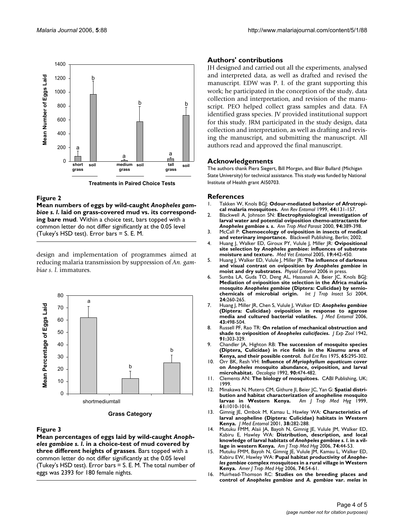

#### Treatments in Paired Choice Tests

#### Figure 2

**Mean numbers of eggs by wild-caught** *Anopheles gambiae s. l***. laid on grass-covered mud vs. its corresponding bare mud**. Within a choice test, bars topped with a common letter do not differ significantly at the 0.05 level (Tukey's HSD test). Error bars = S. E. M.

design and implementation of programmes aimed at reducing malaria transmission by suppression of *An. gambiae s. l*. immatures.





#### **Figure 3.**

**Mean percentages of eggs laid by wild-caught** *Anopheles gambiae s. l***. in a choice-test of mud covered by three different heights of grasses**. Bars topped with a common letter do not differ significantly at the 0.05 level (Tukey's HSD test). Error bars = S. E. M. The total number of eggs was 2393 for 180 female nights.

#### **Authors' contributions**

JH designed and carried out all the experiments, analysed and interpreted data, as well as drafted and revised the manuscript. EDW was P. I. of the grant supporting this work; he participated in the conception of the study, data collection and interpretation, and revision of the manuscript. PEO helped collect grass samples and data. FA identified grass species. JV provided institutional support for this study. JRM participated in the study design, data collection and interpretation, as well as drafting and revising the manuscript, and submitting the manuscript. All authors read and approved the final manuscript.

#### **Acknowledgements**

The authors thank Piera Siegert, Bill Morgan, and Blair Bullard (Michigan State University) for technical assistance. This study was funded by National Institute of Health grant AI50703.

#### **References**

- 1. Takken W, Knols BGJ: **Odour-mediated behavior of Afrotropical malaria mosquitoes.** *Ann Rev Entomol* 1999, **44:**131-157.
- 2. Blackwell A, Johnson SN: **Electrophysiological investigation of larval water and potential oviposition chemo-attractants for** *Anopheles gambiae s. s***[.](http://www.ncbi.nlm.nih.gov/entrez/query.fcgi?cmd=Retrieve&db=PubMed&dopt=Abstract&list_uids=10945049)** *Ann Trop Med Parasit* 2000, **94:**389-398.
- 3. McCall P: **Chemoecology of oviposition in insects of medical and veterinary importance.** Blackwell Publishing, Berlin; 2002.
- 4. Huang J, Walker ED, Giroux PY, Vulule J, Miller JR: **Ovipositional site selection by** *Anopheles gambiae***[: influences of substrate](http://www.ncbi.nlm.nih.gov/entrez/query.fcgi?cmd=Retrieve&db=PubMed&dopt=Abstract&list_uids=16336309) [moisture and texture.](http://www.ncbi.nlm.nih.gov/entrez/query.fcgi?cmd=Retrieve&db=PubMed&dopt=Abstract&list_uids=16336309)** *Med Vet Entomol* 2005, **19:**442-450.
- 5. Huang J, Walker ED, Vulule J, Miller JR: **The influence of darkness and visual contrast on oviposition by** *Anopheles gambiae* **in moist and dry substrates.** *Physiol Entomol* 2006 in press.
- 6. Sumba LA, Guda TO, Deng AL, Hassanali A, Beier JC, Knols BGJ: **Mediation of oviposition site selection in the Africa malaria mosquito** *Anopheles gambiae* **(Diptera: Culicidae) by semiochemicals of microbial origin.** *Int J Trop Insect Sci* 2004, **24:**260-265.
- <span id="page-3-0"></span>7. Huang J, Miller JR, Chen S, Vulule J, Walker ED: *Anopheles gambiae* **[\(Diptera: Culicidae\) oviposition in response to agarose](http://www.ncbi.nlm.nih.gov/entrez/query.fcgi?cmd=Retrieve&db=PubMed&dopt=Abstract&list_uids=16739407) [media and cultured bacterial volatiles.](http://www.ncbi.nlm.nih.gov/entrez/query.fcgi?cmd=Retrieve&db=PubMed&dopt=Abstract&list_uids=16739407)** *J Med Entomol* 2006, **43:**498-504.
- 8. Russell PF, Rao TR: **On relation of mechanical obstruction and shade to oviposition of** *Anopheles culicifacies***.** *J Exp Zool* 1942, **91:**303-329.
- 9. Chandler JA, Highton RB: **The succession of mosquito species (Diptera, Culicidae) in rice fields in the Kisumu area of Kenya, and their possible control.** *Bull Ent Res* 1975, **65:**295-302.
- 10. Orr BK, Resh VH: **Influence of** *Myriophyllum aquaticum* **cover on** *Anopheles* **mosquito abundance, oviposition, and larval microhabitat.** *Oecologia* 1992, **90:**474-482.
- 11. Clements AN: **The biology of mosquitoes.** CABI Publishing, UK; 1999.
- 12. Minakawa N, Mutero CM, Githure JI, Beier JC, Yan G: **[Spatial distri](http://www.ncbi.nlm.nih.gov/entrez/query.fcgi?cmd=Retrieve&db=PubMed&dopt=Abstract&list_uids=10674687)[bution and habitat characterization of anopheline mosquito](http://www.ncbi.nlm.nih.gov/entrez/query.fcgi?cmd=Retrieve&db=PubMed&dopt=Abstract&list_uids=10674687) larvae in Western Kenya.** Am J Trop Med Hyg 1999, [larvae in Western Kenya.](http://www.ncbi.nlm.nih.gov/entrez/query.fcgi?cmd=Retrieve&db=PubMed&dopt=Abstract&list_uids=10674687) **61:**1010-1016.
- 13. Gimnig JE, Ombok M, Kamau L, Hawley WA: **[Characteristics of](http://www.ncbi.nlm.nih.gov/entrez/query.fcgi?cmd=Retrieve&db=PubMed&dopt=Abstract&list_uids=11296836) [larval anopheline \(Diptera: Culicidae\) habitats in Western](http://www.ncbi.nlm.nih.gov/entrez/query.fcgi?cmd=Retrieve&db=PubMed&dopt=Abstract&list_uids=11296836) [Kenya.](http://www.ncbi.nlm.nih.gov/entrez/query.fcgi?cmd=Retrieve&db=PubMed&dopt=Abstract&list_uids=11296836)** *J Med Entomol* 2001, **38:**282-288.
- <span id="page-3-1"></span>14. Mutuku FMM, Alaii JA, Bayoh N, Gimnig JE, Vulule JM, Walker ED, Kabiru E, Hawley WA: **Distribution, description, and local knowledge of larval habitats of** *Anohpeles gambiae s. l***[. in a vil](http://www.ncbi.nlm.nih.gov/entrez/query.fcgi?cmd=Retrieve&db=PubMed&dopt=Abstract&list_uids=16407345)[lage in western Kenya.](http://www.ncbi.nlm.nih.gov/entrez/query.fcgi?cmd=Retrieve&db=PubMed&dopt=Abstract&list_uids=16407345)** *Am J Trop Med Hyg* 2006, **74:**44-53.
- 15. Mutuku FMM, Bayoh N, Gimnig JE, Vulule JM, Kamau L, Walker ED, Kabiru EW, Hawley WA: **Pupal habitat productivity of** *Anopheles gambiae* **complex mosquitoes in a rural village in Western Kenya.** *Amer J Trop Med Hyg* 2006, **74:**54-61.
- 16. Muirhead-Thomson RC: **Studies on the breeding places and control of** *Anopheles gambiae* **and** *A. gambiae* **var.** *melas* **in**